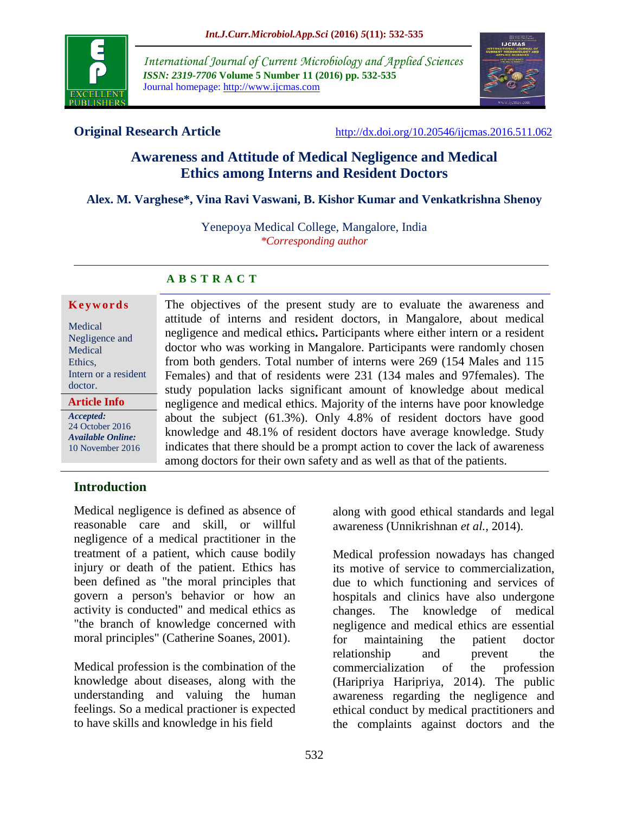

*International Journal of Current Microbiology and Applied Sciences ISSN: 2319-7706* **Volume 5 Number 11 (2016) pp. 532-535** Journal homepage: http://www.ijcmas.com



**Original Research Article** <http://dx.doi.org/10.20546/ijcmas.2016.511.062>

# **Awareness and Attitude of Medical Negligence and Medical Ethics among Interns and Resident Doctors**

## **Alex. M. Varghese\*, Vina Ravi Vaswani, B. Kishor Kumar and Venkatkrishna Shenoy**

Yenepoya Medical College, Mangalore, India *\*Corresponding author*

#### **A B S T R A C T**

#### **K e y w o r d s**

| Medical              |
|----------------------|
| Negligence and       |
| Medical              |
| Ethics,              |
| Intern or a resident |
| doctor.              |
|                      |

*Accepted:*  24 October 2016 *Available Online:* 10 November 2016

**Article Info**

The objectives of the present study are to evaluate the awareness and attitude of interns and resident doctors, in Mangalore, about medical negligence and medical ethics**.** Participants where either intern or a resident doctor who was working in Mangalore. Participants were randomly chosen from both genders. Total number of interns were 269 (154 Males and 115 Females) and that of residents were 231 (134 males and 97females). The study population lacks significant amount of knowledge about medical negligence and medical ethics. Majority of the interns have poor knowledge about the subject (61.3%). Only 4.8% of resident doctors have good knowledge and 48.1% of resident doctors have average knowledge. Study indicates that there should be a prompt action to cover the lack of awareness among doctors for their own safety and as well as that of the patients.

## **Introduction**

Medical negligence is defined as absence of reasonable care and skill, or willful negligence of a medical practitioner in the treatment of a patient, which cause bodily injury or death of the patient. Ethics has been defined as "the moral principles that govern a person's behavior or how an activity is conducted" and medical ethics as "the branch of knowledge concerned with moral principles" (Catherine Soanes, 2001).

Medical profession is the combination of the knowledge about diseases, along with the understanding and valuing the human feelings. So a medical practioner is expected to have skills and knowledge in his field

along with good ethical standards and legal awareness (Unnikrishnan *et al.,* 2014).

Medical profession nowadays has changed its motive of service to commercialization, due to which functioning and services of hospitals and clinics have also undergone changes. The knowledge of medical negligence and medical ethics are essential for maintaining the patient doctor relationship and prevent the commercialization of the profession (Haripriya Haripriya, 2014). The public awareness regarding the negligence and ethical conduct by medical practitioners and the complaints against doctors and the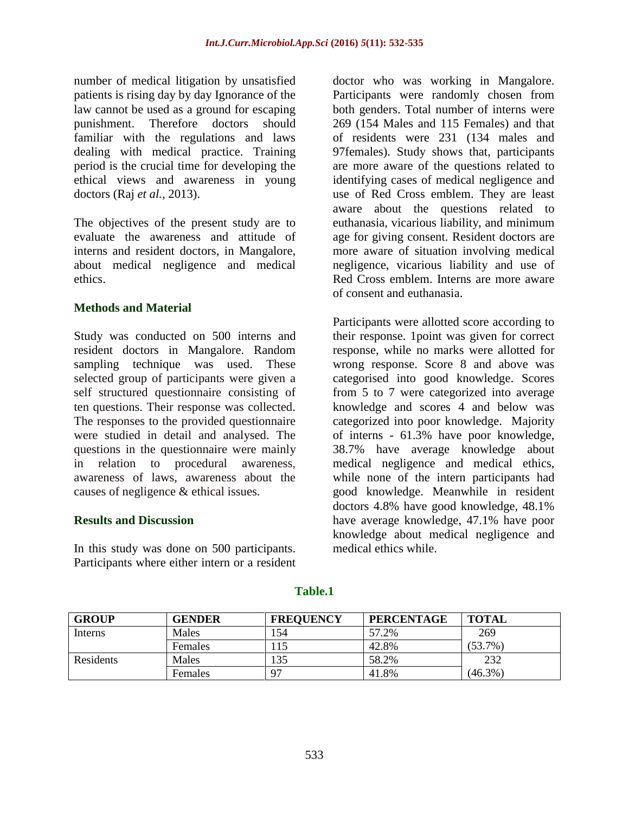number of medical litigation by unsatisfied patients is rising day by day Ignorance of the law cannot be used as a ground for escaping punishment. Therefore doctors should familiar with the regulations and laws dealing with medical practice. Training period is the crucial time for developing the ethical views and awareness in young doctors (Raj *et al.,* 2013).

The objectives of the present study are to evaluate the awareness and attitude of interns and resident doctors, in Mangalore, about medical negligence and medical ethics.

## **Methods and Material**

Study was conducted on 500 interns and resident doctors in Mangalore. Random sampling technique was used. These selected group of participants were given a self structured questionnaire consisting of ten questions. Their response was collected. The responses to the provided questionnaire were studied in detail and analysed. The questions in the questionnaire were mainly in relation to procedural awareness, awareness of laws, awareness about the causes of negligence & ethical issues.

## **Results and Discussion**

In this study was done on 500 participants. Participants where either intern or a resident doctor who was working in Mangalore. Participants were randomly chosen from both genders. Total number of interns were 269 (154 Males and 115 Females) and that of residents were 231 (134 males and 97females). Study shows that, participants are more aware of the questions related to identifying cases of medical negligence and use of Red Cross emblem. They are least aware about the questions related to euthanasia, vicarious liability, and minimum age for giving consent. Resident doctors are more aware of situation involving medical negligence, vicarious liability and use of Red Cross emblem. Interns are more aware of consent and euthanasia.

Participants were allotted score according to their response. 1point was given for correct response, while no marks were allotted for wrong response. Score 8 and above was categorised into good knowledge. Scores from 5 to 7 were categorized into average knowledge and scores 4 and below was categorized into poor knowledge. Majority of interns - 61.3% have poor knowledge, 38.7% have average knowledge about medical negligence and medical ethics, while none of the intern participants had good knowledge. Meanwhile in resident doctors 4.8% have good knowledge, 48.1% have average knowledge, 47.1% have poor knowledge about medical negligence and medical ethics while.

| <b>GROUP</b>   | <b>GENDER</b>  | <b>FREOUENCY</b> | <b>PERCENTAGE</b> | <b>TOTAL</b> |
|----------------|----------------|------------------|-------------------|--------------|
| <b>Interns</b> | Males          | .54              | 57.2%             | 269          |
|                | Females        | 15               | 42.8%             | $(53.7\%)$   |
| Residents      | Males          | 135              | 58.2%             | 232          |
|                | <b>Females</b> | $\Omega$         | 41.8%             | (46.3%)      |

**Table.1**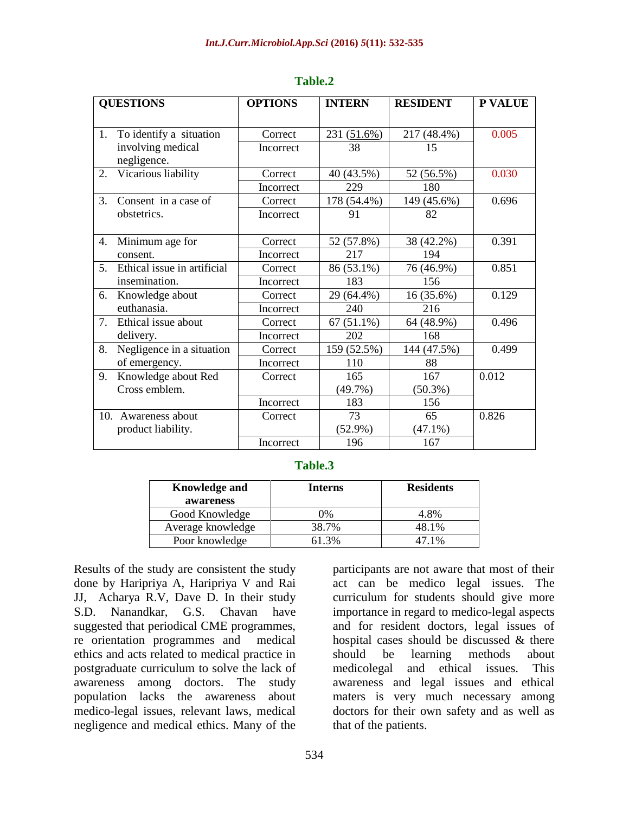| <b>QUESTIONS</b> |                             | <b>OPTIONS</b> | <b>INTERN</b>    | <b>RESIDENT</b> | P VALUE |
|------------------|-----------------------------|----------------|------------------|-----------------|---------|
|                  |                             |                |                  |                 |         |
| 1.               | To identify a situation     | Correct        | 231 $(51.6\%)$   | 217 (48.4%)     | 0.005   |
|                  | involving medical           | Incorrect      | 38               | 15              |         |
|                  | negligence.                 |                |                  |                 |         |
| 2.               | Vicarious liability         | Correct        | 40 (43.5%)       | 52 (56.5%)      | 0.030   |
|                  |                             | Incorrect      | 229              | 180             |         |
| 3.               | Consent in a case of        | Correct        | 178 (54.4%)      | 149 (45.6%)     | 0.696   |
|                  | obstetrics.                 | Incorrect      | 91               | 82              |         |
|                  |                             |                |                  |                 |         |
| 4.               | Minimum age for             | Correct        | 52 (57.8%)       | 38 (42.2%)      | 0.391   |
|                  | consent.                    | Incorrect      | 217              | 194             |         |
| 5.               | Ethical issue in artificial | Correct        | 86 (53.1%)       | 76 (46.9%)      | 0.851   |
|                  | insemination.               | Incorrect      | 183              | 156             |         |
| 6.               | Knowledge about             | Correct        | 29 (64.4%)       | 16 (35.6%)      | 0.129   |
|                  | euthanasia.                 | Incorrect      | 240              | 216             |         |
| 7.               | Ethical issue about         | Correct        | $(51.1\%)$<br>67 | 64 (48.9%)      | 0.496   |
|                  | delivery.                   | Incorrect      | 202              | 168             |         |
| 8.               | Negligence in a situation   | Correct        | 159 (52.5%)      | 144 (47.5%)     | 0.499   |
|                  | of emergency.               | Incorrect      | 110              | 88              |         |
| 9.               | Knowledge about Red         | Correct        | 165              | 167             | 0.012   |
|                  | Cross emblem.               |                | (49.7%)          | $(50.3\%)$      |         |
|                  |                             | Incorrect      | 183              | 156             |         |
|                  | 10. Awareness about         | Correct        | 73               | 65              | 0.826   |
|                  | product liability.          |                | $(52.9\%)$       | $(47.1\%)$      |         |
|                  |                             | Incorrect      | 196              | 167             |         |

#### **Table.2**

#### **Table.3**

| <b>Knowledge and</b><br>awareness | <b>Interns</b> | <b>Residents</b> |
|-----------------------------------|----------------|------------------|
| Good Knowledge                    | $\frac{10}{6}$ | 4.8%             |
| Average knowledge                 | 38.7%          | 48.1%            |
| Poor knowledge                    | 61.3%          | L7 1%            |

Results of the study are consistent the study done by Haripriya A, Haripriya V and Rai JJ, Acharya R.V, Dave D. In their study S.D. Nanandkar, G.S. Chavan have suggested that periodical CME programmes, re orientation programmes and medical ethics and acts related to medical practice in postgraduate curriculum to solve the lack of awareness among doctors. The study population lacks the awareness about medico-legal issues, relevant laws, medical negligence and medical ethics. Many of the

participants are not aware that most of their act can be medico legal issues. The curriculum for students should give more importance in regard to medico-legal aspects and for resident doctors, legal issues of hospital cases should be discussed & there should be learning methods about medicolegal and ethical issues. This awareness and legal issues and ethical maters is very much necessary among doctors for their own safety and as well as that of the patients.